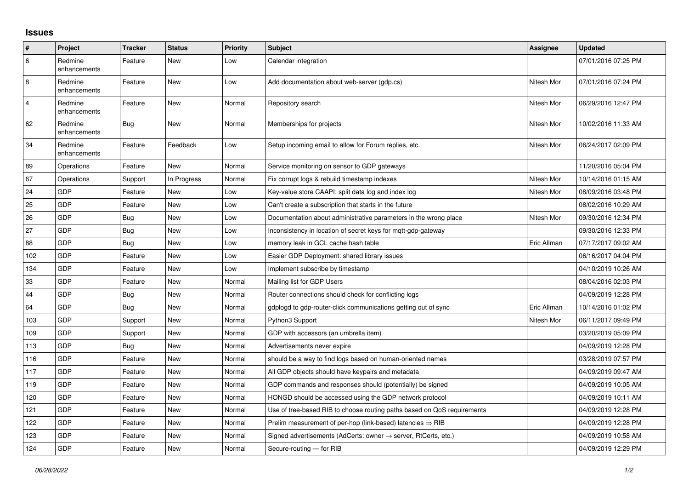## **Issues**

| #              | Project                 | <b>Tracker</b> | <b>Status</b> | <b>Priority</b> | <b>Subject</b>                                                             | Assignee    | <b>Updated</b>      |
|----------------|-------------------------|----------------|---------------|-----------------|----------------------------------------------------------------------------|-------------|---------------------|
| 6              | Redmine<br>enhancements | Feature        | New           | Low             | Calendar integration                                                       |             | 07/01/2016 07:25 PM |
| $\overline{8}$ | Redmine<br>enhancements | Feature        | New           | Low             | Add documentation about web-server (gdp.cs)                                | Nitesh Mor  | 07/01/2016 07:24 PM |
| $\overline{4}$ | Redmine<br>enhancements | Feature        | <b>New</b>    | Normal          | Repository search                                                          | Nitesh Mor  | 06/29/2016 12:47 PM |
| 62             | Redmine<br>enhancements | Bug            | <b>New</b>    | Normal          | Memberships for projects                                                   | Nitesh Mor  | 10/02/2016 11:33 AM |
| 34             | Redmine<br>enhancements | Feature        | Feedback      | Low             | Setup incoming email to allow for Forum replies, etc.                      | Nitesh Mor  | 06/24/2017 02:09 PM |
| 89             | Operations              | Feature        | <b>New</b>    | Normal          | Service monitoring on sensor to GDP gateways                               |             | 11/20/2016 05:04 PM |
| 67             | Operations              | Support        | In Progress   | Normal          | Fix corrupt logs & rebuild timestamp indexes                               | Nitesh Mor  | 10/14/2016 01:15 AM |
| 24             | <b>GDP</b>              | Feature        | New           | Low             | Key-value store CAAPI: split data log and index log                        | Nitesh Mor  | 08/09/2016 03:48 PM |
| 25             | <b>GDP</b>              | Feature        | <b>New</b>    | Low             | Can't create a subscription that starts in the future                      |             | 08/02/2016 10:29 AM |
| 26             | GDP                     | Bug            | <b>New</b>    | Low             | Documentation about administrative parameters in the wrong place           | Nitesh Mor  | 09/30/2016 12:34 PM |
| 27             | <b>GDP</b>              | Bug            | New           | Low             | Inconsistency in location of secret keys for mqtt-gdp-gateway              |             | 09/30/2016 12:33 PM |
| 88             | GDP                     | <b>Bug</b>     | New           | Low             | memory leak in GCL cache hash table                                        | Eric Allman | 07/17/2017 09:02 AM |
| 102            | GDP                     | Feature        | <b>New</b>    | Low             | Easier GDP Deployment: shared library issues                               |             | 06/16/2017 04:04 PM |
| 134            | GDP                     | Feature        | <b>New</b>    | Low             | Implement subscribe by timestamp                                           |             | 04/10/2019 10:26 AM |
| 33             | GDP                     | Feature        | <b>New</b>    | Normal          | Mailing list for GDP Users                                                 |             | 08/04/2016 02:03 PM |
| 44             | GDP                     | <b>Bug</b>     | New           | Normal          | Router connections should check for conflicting logs                       |             | 04/09/2019 12:28 PM |
| 64             | GDP                     | Bug            | <b>New</b>    | Normal          | gdplogd to gdp-router-click communications getting out of sync             | Eric Allman | 10/14/2016 01:02 PM |
| 103            | GDP                     | Support        | <b>New</b>    | Normal          | Python3 Support                                                            | Nitesh Mor  | 06/11/2017 09:49 PM |
| 109            | GDP                     | Support        | <b>New</b>    | Normal          | GDP with accessors (an umbrella item)                                      |             | 03/20/2019 05:09 PM |
| 113            | GDP                     | <b>Bug</b>     | New           | Normal          | Advertisements never expire                                                |             | 04/09/2019 12:28 PM |
| 116            | <b>GDP</b>              | Feature        | <b>New</b>    | Normal          | should be a way to find logs based on human-oriented names                 |             | 03/28/2019 07:57 PM |
| 117            | GDP                     | Feature        | New           | Normal          | All GDP objects should have keypairs and metadata                          |             | 04/09/2019 09:47 AM |
| 119            | GDP                     | Feature        | <b>New</b>    | Normal          | GDP commands and responses should (potentially) be signed                  |             | 04/09/2019 10:05 AM |
| 120            | <b>GDP</b>              | Feature        | New           | Normal          | HONGD should be accessed using the GDP network protocol                    |             | 04/09/2019 10:11 AM |
| 121            | <b>GDP</b>              | Feature        | New           | Normal          | Use of tree-based RIB to choose routing paths based on QoS requirements    |             | 04/09/2019 12:28 PM |
| 122            | GDP                     | Feature        | New           | Normal          | Prelim measurement of per-hop (link-based) latencies $\Rightarrow$ RIB     |             | 04/09/2019 12:28 PM |
| 123            | <b>GDP</b>              | Feature        | <b>New</b>    | Normal          | Signed advertisements (AdCerts: owner $\rightarrow$ server, RtCerts, etc.) |             | 04/09/2019 10:58 AM |
| 124            | GDP                     | Feature        | New           | Normal          | Secure-routing - for RIB                                                   |             | 04/09/2019 12:29 PM |